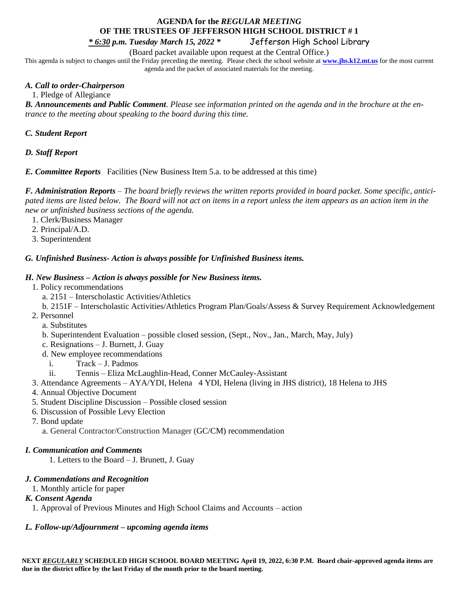# **AGENDA for the** *REGULAR MEETING* **OF THE TRUSTEES OF JEFFERSON HIGH SCHOOL DISTRICT # 1**

*\* 6:30 p.m. Tuesday March 15, 2022 \** Jefferson High School Library

(Board packet available upon request at the Central Office.)

This agenda is subject to changes until the Friday preceding the meeting. Please check the school website at **[www.jhs.k12.mt.us](http://www.jhs.k12.mt.us/)** for the most current agenda and the packet of associated materials for the meeting.

## *A. Call to order-Chairperson*

1. Pledge of Allegiance

*B. Announcements and Public Comment*. *Please see information printed on the agenda and in the brochure at the entrance to the meeting about speaking to the board during this time.* 

## *C. Student Report*

## *D. Staff Report*

*E. Committee Reports* Facilities (New Business Item 5.a. to be addressed at this time)

*F. Administration Reports* – *The board briefly reviews the written reports provided in board packet. Some specific, anticipated items are listed below. The Board will not act on items in a report unless the item appears as an action item in the new or unfinished business sections of the agenda.*

- 1. Clerk/Business Manager
- 2. Principal/A.D.
- 3. Superintendent

### *G. Unfinished Business- Action is always possible for Unfinished Business items.*

### *H. New Business – Action is always possible for New Business items.*

- 1. Policy recommendations
	- a. 2151 Interscholastic Activities/Athletics
	- b. 2151F Interscholastic Activities/Athletics Program Plan/Goals/Assess & Survey Requirement Acknowledgement
- 2. Personnel
	- a. Substitutes
	- b. Superintendent Evaluation possible closed session, (Sept., Nov., Jan., March, May, July)
	- c. Resignations J. Burnett, J. Guay
	- d. New employee recommendations
		- i. Track J. Padmos
		- ii. Tennis Eliza McLaughlin-Head, Conner McCauley-Assistant
- 3. Attendance Agreements AYA/YDI, Helena 4 YDI, Helena (living in JHS district), 18 Helena to JHS
- 4. Annual Objective Document
- 5. Student Discipline Discussion Possible closed session
- 6. Discussion of Possible Levy Election
- 7. Bond update

a. General Contractor/Construction Manager (GC/CM) recommendation

## *I. Communication and Comments*

1. Letters to the Board – J. Brunett, J. Guay

## *J. Commendations and Recognition*

1. Monthly article for paper

## *K. Consent Agenda*

1. Approval of Previous Minutes and High School Claims and Accounts – action

# *L. Follow-up/Adjournment – upcoming agenda items*

**NEXT** *REGULARLY* **SCHEDULED HIGH SCHOOL BOARD MEETING April 19, 2022, 6:30 P.M. Board chair-approved agenda items are due in the district office by the last Friday of the month prior to the board meeting.**